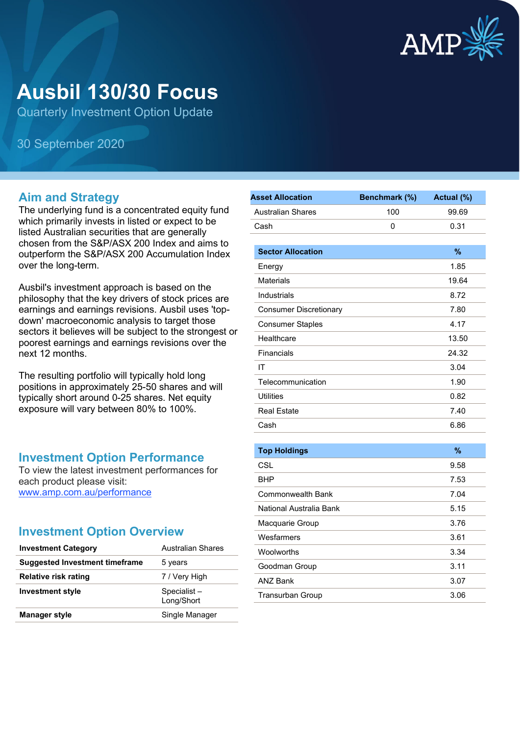

# **Ausbil 130/30 Focus**

Quarterly Investment Option Update

30 September 2020

#### **Aim and Strategy**

The underlying fund is a concentrated equity fund which primarily invests in listed or expect to be listed Australian securities that are generally chosen from the S&P/ASX 200 Index and aims to outperform the S&P/ASX 200 Accumulation Index over the long-term.

Ausbil's investment approach is based on the philosophy that the key drivers of stock prices are earnings and earnings revisions. Ausbil uses 'topdown' macroeconomic analysis to target those sectors it believes will be subject to the strongest or poorest earnings and earnings revisions over the next 12 months.

The resulting portfolio will typically hold long positions in approximately 25-50 shares and will typically short around 0-25 shares. Net equity exposure will vary between 80% to 100%.

#### **Investment Option Performance**

To view the latest investment performances for each product please visit: [www.amp.com.au/performance](https://www.amp.com.au/performance)

#### **Investment Option Overview**

| <b>Investment Category</b>            | Australian Shares         |
|---------------------------------------|---------------------------|
| <b>Suggested Investment timeframe</b> | 5 years                   |
| Relative risk rating                  | 7 / Very High             |
| <b>Investment style</b>               | Specialist-<br>Long/Short |
| <b>Manager style</b>                  | Single Manager            |

| <b>Asset Allocation</b>       | Benchmark (%) | Actual (%)    |
|-------------------------------|---------------|---------------|
| <b>Australian Shares</b>      | 100           | 99.69         |
| Cash                          | 0             | 0.31          |
|                               |               |               |
| <b>Sector Allocation</b>      |               | %             |
| Energy                        |               | 1.85          |
| <b>Materials</b>              |               | 19.64         |
| Industrials                   |               | 8.72          |
| <b>Consumer Discretionary</b> |               | 7.80          |
| <b>Consumer Staples</b>       |               | 4.17          |
| Healthcare                    |               | 13.50         |
| Financials                    |               | 24.32         |
| IT                            |               | 3.04          |
| Telecommunication             |               | 1.90          |
| <b>Utilities</b>              |               | 0.82          |
| <b>Real Estate</b>            |               | 7.40          |
| Cash                          |               | 6.86          |
|                               |               |               |
| <b>Top Holdings</b>           |               | $\frac{9}{6}$ |
| CSL                           |               | 9.58          |
| BHP                           |               | 7.53          |
| Commonwealth Bank             |               | 7.04          |
| National Australia Bank       |               | 5.15          |
| Macquarie Group               |               | 3.76          |
| Wesfarmers                    |               | 3.61          |
| Woolworths                    |               | 3.34          |
| Goodman Group                 |               | 3.11          |
| <b>ANZ Bank</b>               |               | 3.07          |
| <b>Transurban Group</b>       |               | 3.06          |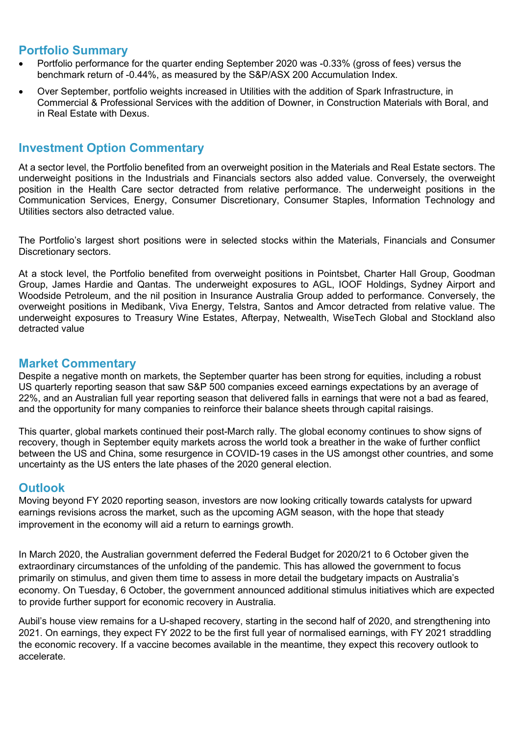### **Portfolio Summary**

- Portfolio performance for the quarter ending September 2020 was -0.33% (gross of fees) versus the benchmark return of -0.44%, as measured by the S&P/ASX 200 Accumulation Index.
- Over September, portfolio weights increased in Utilities with the addition of Spark Infrastructure, in Commercial & Professional Services with the addition of Downer, in Construction Materials with Boral, and in Real Estate with Dexus.

# **Investment Option Commentary**

At a sector level, the Portfolio benefited from an overweight position in the Materials and Real Estate sectors. The underweight positions in the Industrials and Financials sectors also added value. Conversely, the overweight position in the Health Care sector detracted from relative performance. The underweight positions in the Communication Services, Energy, Consumer Discretionary, Consumer Staples, Information Technology and Utilities sectors also detracted value.

The Portfolio's largest short positions were in selected stocks within the Materials, Financials and Consumer Discretionary sectors.

At a stock level, the Portfolio benefited from overweight positions in Pointsbet, Charter Hall Group, Goodman Group, James Hardie and Qantas. The underweight exposures to AGL, IOOF Holdings, Sydney Airport and Woodside Petroleum, and the nil position in Insurance Australia Group added to performance. Conversely, the overweight positions in Medibank, Viva Energy, Telstra, Santos and Amcor detracted from relative value. The underweight exposures to Treasury Wine Estates, Afterpay, Netwealth, WiseTech Global and Stockland also detracted value

# **Market Commentary**

Despite a negative month on markets, the September quarter has been strong for equities, including a robust US quarterly reporting season that saw S&P 500 companies exceed earnings expectations by an average of 22%, and an Australian full year reporting season that delivered falls in earnings that were not a bad as feared, and the opportunity for many companies to reinforce their balance sheets through capital raisings.

This quarter, global markets continued their post-March rally. The global economy continues to show signs of recovery, though in September equity markets across the world took a breather in the wake of further conflict between the US and China, some resurgence in COVID-19 cases in the US amongst other countries, and some uncertainty as the US enters the late phases of the 2020 general election.

# **Outlook**

Moving beyond FY 2020 reporting season, investors are now looking critically towards catalysts for upward earnings revisions across the market, such as the upcoming AGM season, with the hope that steady improvement in the economy will aid a return to earnings growth.

In March 2020, the Australian government deferred the Federal Budget for 2020/21 to 6 October given the extraordinary circumstances of the unfolding of the pandemic. This has allowed the government to focus primarily on stimulus, and given them time to assess in more detail the budgetary impacts on Australia's economy. On Tuesday, 6 October, the government announced additional stimulus initiatives which are expected to provide further support for economic recovery in Australia.

Aubil's house view remains for a U-shaped recovery, starting in the second half of 2020, and strengthening into 2021. On earnings, they expect FY 2022 to be the first full year of normalised earnings, with FY 2021 straddling the economic recovery. If a vaccine becomes available in the meantime, they expect this recovery outlook to accelerate.